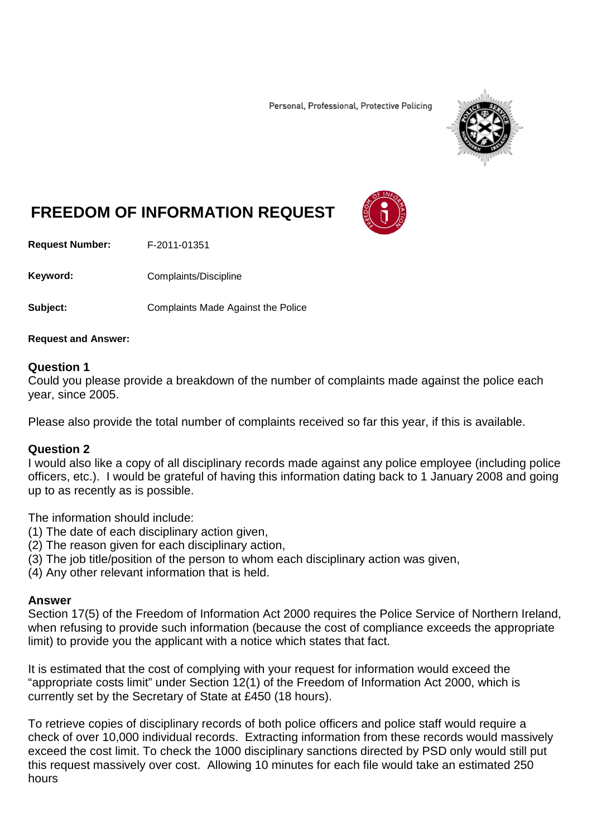Personal, Professional, Protective Policing



## **FREEDOM OF INFORMATION REQUEST**

**Request Number:** F-2011-01351

Keyword: Complaints/Discipline

**Subject:** Complaints Made Against the Police

**Request and Answer:**

## **Question 1**

Could you please provide a breakdown of the number of complaints made against the police each year, since 2005.

Please also provide the total number of complaints received so far this year, if this is available.

## **Question 2**

I would also like a copy of all disciplinary records made against any police employee (including police officers, etc.). I would be grateful of having this information dating back to 1 January 2008 and going up to as recently as is possible.

The information should include:

- (1) The date of each disciplinary action given,
- (2) The reason given for each disciplinary action,
- (3) The job title/position of the person to whom each disciplinary action was given,

(4) Any other relevant information that is held.

## **Answer**

Section 17(5) of the Freedom of Information Act 2000 requires the Police Service of Northern Ireland, when refusing to provide such information (because the cost of compliance exceeds the appropriate limit) to provide you the applicant with a notice which states that fact.

It is estimated that the cost of complying with your request for information would exceed the "appropriate costs limit" under Section 12(1) of the Freedom of Information Act 2000, which is currently set by the Secretary of State at £450 (18 hours).

To retrieve copies of disciplinary records of both police officers and police staff would require a check of over 10,000 individual records. Extracting information from these records would massively exceed the cost limit. To check the 1000 disciplinary sanctions directed by PSD only would still put this request massively over cost. Allowing 10 minutes for each file would take an estimated 250 hours